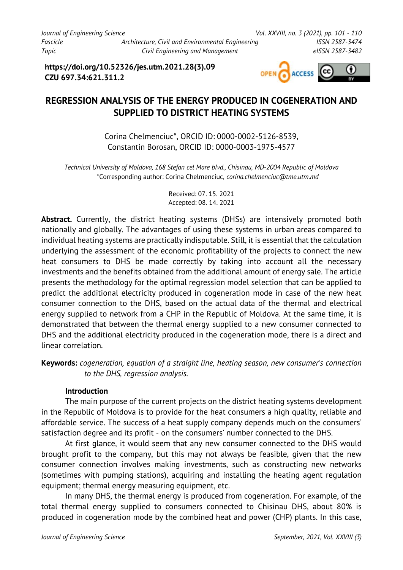**https://doi.org/10.52326/jes.utm.2021.28(3).09 CZU 697.34:621.311.2**



# **REGRESSION ANALYSIS OF THE ENERGY PRODUCED IN COGENERATION AND SUPPLIED TO DISTRICT HEATING SYSTEMS**

Corina Chelmenciuc\*, ORCID ID: 0000-0002-5126-8539, Constantin Borosan, ORCID ID: 0000-0003-1975-4577

*Technical University of Moldova, 168 Stefan cel Mare blvd., Chisinau, MD-2004 Republic of Moldova* \*Corresponding author: Corina Chelmenciuc, *corina.chelmenciuc@tme.utm.md*

> Received: 07. 15. 2021 Accepted: 08. 14. 2021

Abstract. Currently, the district heating systems (DHSs) are intensively promoted both nationally and globally. The advantages of using these systems in urban areas compared to individual heating systems are practically indisputable. Still, it is essential that the calculation underlying the assessment of the economic profitability of the projects to connect the new heat consumers to DHS be made correctly by taking into account all the necessary investments and the benefits obtained from the additional amount of energy sale. The article presents the methodology for the optimal regression model selection that can be applied to predict the additional electricity produced in cogeneration mode in case of the new heat consumer connection to the DHS, based on the actual data of the thermal and electrical energy supplied to network from a CHP in the Republic of Moldova. At the same time, it is demonstrated that between the thermal energy supplied to a new consumer connected to DHS and the additional electricity produced in the cogeneration mode, there is a direct and linear correlation.

**Keywords:** *cogeneration, equation of a straight line, heating season, new consumer*'*s connection to the DHS, regression analysis.* 

## **Introduction**

The main purpose of the current projects on the district heating systems development in the Republic of Moldova is to provide for the heat consumers a high quality, reliable and affordable service. The success of a heat supply company depends much on the consumers' satisfaction degree and its profit - on the consumers' number connected to the DHS.

At first glance, it would seem that any new consumer connected to the DHS would brought profit to the company, but this may not always be feasible, given that the new consumer connection involves making investments, such as constructing new networks (sometimes with pumping stations), acquiring and installing the heating agent regulation equipment; thermal energy measuring equipment, etc.

In many DHS, the thermal energy is produced from cogeneration. For example, of the total thermal energy supplied to consumers connected to Chisinau DHS, about 80% is produced in cogeneration mode by the combined heat and power (CHP) plants. In this case,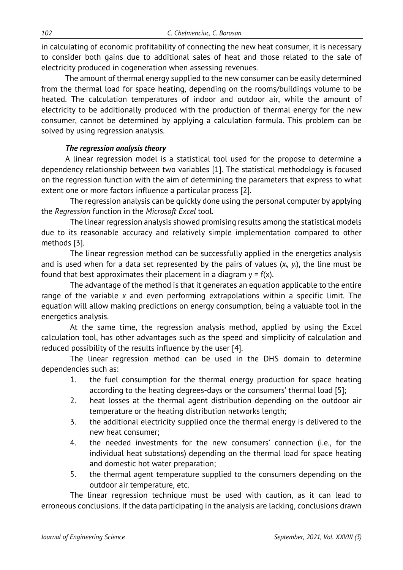in calculating of economic profitability of connecting the new heat consumer, it is necessary to consider both gains due to additional sales of heat and those related to the sale of electricity produced in cogeneration when assessing revenues.

The amount of thermal energy supplied to the new consumer can be easily determined from the thermal load for space heating, depending on the rooms/buildings volume to be heated. The calculation temperatures of indoor and outdoor air, while the amount of electricity to be additionally produced with the production of thermal energy for the new consumer, cannot be determined by applying a calculation formula. This problem can be solved by using regression analysis.

### *The regression analysis theory*

A linear regression model is a statistical tool used for the propose to determine a dependency relationship between two variables [1]. The statistical methodology is focused on the regression function with the aim of determining the parameters that express to what extent one or more factors influence a particular process [2].

The regression analysis can be quickly done using the personal computer by applying the *Regression* function in the *Microsoft Excel* tool.

The linear regression analysis showed promising results among the statistical models due to its reasonable accuracy and relatively simple implementation compared to other methods [3].

The linear regression method can be successfully applied in the energetics analysis and is used when for a data set represented by the pairs of values (*xi, yi*), the line must be found that best approximates their placement in a diagram  $y = f(x)$ .

The advantage of the method is that it generates an equation applicable to the entire range of the variable *x* and even performing extrapolations within a specific limit. The equation will allow making predictions on energy consumption, being a valuable tool in the energetics analysis.

At the same time, the regression analysis method, applied by using the Excel calculation tool, has other advantages such as the speed and simplicity of calculation and reduced possibility of the results influence by the user [4].

The linear regression method can be used in the DHS domain to determine dependencies such as:

- 1. the fuel consumption for the thermal energy production for space heating according to the heating degrees-days or the consumers' thermal load [5];
- 2. heat losses at the thermal agent distribution depending on the outdoor air temperature or the heating distribution networks length;
- 3. the additional electricity supplied once the thermal energy is delivered to the new heat consumer;
- 4. the needed investments for the new consumers' connection (i.e., for the individual heat substations) depending on the thermal load for space heating and domestic hot water preparation;
- 5. the thermal agent temperature supplied to the consumers depending on the outdoor air temperature, etc.

The linear regression technique must be used with caution, as it can lead to erroneous conclusions. If the data participating in the analysis are lacking, conclusions drawn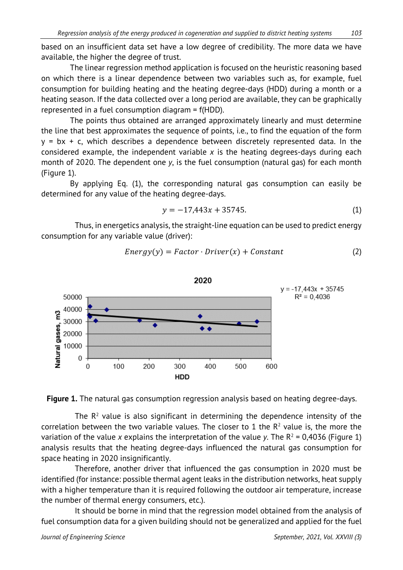based on an insufficient data set have a low degree of credibility. The more data we have available, the higher the degree of trust.

The linear regression method application is focused on the heuristic reasoning based on which there is a linear dependence between two variables such as, for example, fuel consumption for building heating and the heating degree-days (HDD) during a month or a heating season. If the data collected over a long period are available, they can be graphically represented in a fuel consumption diagram = f(HDD).

The points thus obtained are arranged approximately linearly and must determine the line that best approximates the sequence of points, i.e., to find the equation of the form  $y = bx + c$ , which describes a dependence between discretely represented data. In the considered example, the independent variable *x* is the heating degrees-days during each month of 2020. The dependent one *y*, is the fuel consumption (natural gas) for each month (Figure 1).

By applying Eq. (1), the corresponding natural gas consumption can easily be determined for any value of the heating degree-days.

$$
y = -17,443x + 35745.
$$
 (1)

Thus, in energetics analysis, the straight-line equation can be used to predict energy consumption for any variable value (driver):

$$
Energy(y) = Factor \cdot Driver(x) + Constant
$$
 (2)





The  $R<sup>2</sup>$  value is also significant in determining the dependence intensity of the correlation between the two variable values. The closer to 1 the  $R<sup>2</sup>$  value is, the more the variation of the value *x* explains the interpretation of the value *y*. The  $R^2 = 0.4036$  (Figure 1) analysis results that the heating degree-days influenced the natural gas consumption for space heating in 2020 insignificantly.

Therefore, another driver that influenced the gas consumption in 2020 must be identified (for instance: possible thermal agent leaks in the distribution networks, heat supply with a higher temperature than it is required following the outdoor air temperature, increase the number of thermal energy consumers, etc.).

It should be borne in mind that the regression model obtained from the analysis of fuel consumption data for a given building should not be generalized and applied for the fuel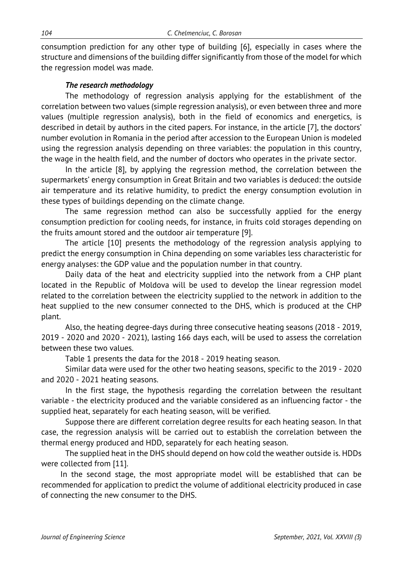consumption prediction for any other type of building [6], especially in cases where the structure and dimensions of the building differ significantly from those of the model for which the regression model was made.

### *The research methodology*

The methodology of regression analysis applying for the establishment of the correlation between two values (simple regression analysis), or even between three and more values (multiple regression analysis), both in the field of economics and energetics, is described in detail by authors in the cited papers. For instance, in the article [7], the doctors' number evolution in Romania in the period after accession to the European Union is modeled using the regression analysis depending on three variables: the population in this country, the wage in the health field, and the number of doctors who operates in the private sector.

In the article [8], by applying the regression method, the correlation between the supermarkets' energy consumption in Great Britain and two variables is deduced: the outside air temperature and its relative humidity, to predict the energy consumption evolution in these types of buildings depending on the climate change.

The same regression method can also be successfully applied for the energy consumption prediction for cooling needs, for instance, in fruits cold storages depending on the fruits amount stored and the outdoor air temperature [9].

The article [10] presents the methodology of the regression analysis applying to predict the energy consumption in China depending on some variables less characteristic for energy analyses: the GDP value and the population number in that country.

Daily data of the heat and electricity supplied into the network from a CHP plant located in the Republic of Moldova will be used to develop the linear regression model related to the correlation between the electricity supplied to the network in addition to the heat supplied to the new consumer connected to the DHS, which is produced at the CHP plant.

Also, the heating degree-days during three consecutive heating seasons (2018 - 2019, 2019 - 2020 and 2020 - 2021), lasting 166 days each, will be used to assess the correlation between these two values.

Table 1 presents the data for the 2018 - 2019 heating season.

Similar data were used for the other two heating seasons, specific to the 2019 - 2020 and 2020 - 2021 heating seasons.

In the first stage, the hypothesis regarding the correlation between the resultant variable - the electricity produced and the variable considered as an influencing factor - the supplied heat, separately for each heating season, will be verified.

Suppose there are different correlation degree results for each heating season. In that case, the regression analysis will be carried out to establish the correlation between the thermal energy produced and HDD, separately for each heating season.

The supplied heat in the DHS should depend on how cold the weather outside is. HDDs were collected from [11].

In the second stage, the most appropriate model will be established that can be recommended for application to predict the volume of additional electricity produced in case of connecting the new consumer to the DHS.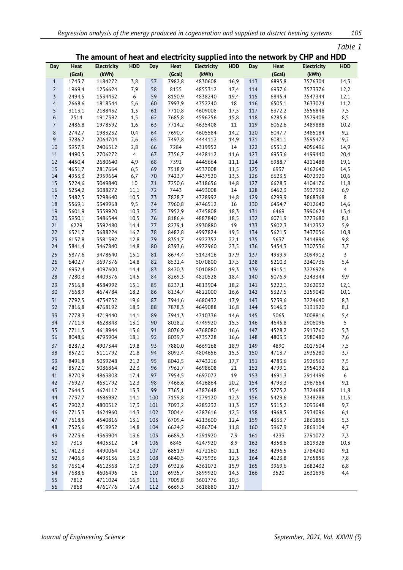| able |  |  |
|------|--|--|
|      |  |  |

### **The amount of heat and electricity supplied into the network by CHP and HDD**

| Day            | Heat             | <b>Electricity</b> | <b>HDD</b>     | Day      | Heat             | <b>Electricity</b> | <b>HDD</b> | <b>Day</b> | Heat           | <b>Electricity</b> | <b>HDD</b>       |
|----------------|------------------|--------------------|----------------|----------|------------------|--------------------|------------|------------|----------------|--------------------|------------------|
|                | (Gcal)           | (kWh)              |                |          | (Gcal)           | (kWh)              |            |            | (Gcal)         | (kWh)              |                  |
| $\mathbf{1}$   | 1743,7           | 1184272            | 3,8            | 57       | 7982,8           | 4830608            | 16,9       | 113        | 6895,8         | 3576304            | 14,3             |
| $\overline{2}$ | 1969,4           | 1256624            | 7,9            | 58       | 8155             | 4855312            | 17,4       | 114        | 6937,6         | 3573376            | 12,2             |
| $\overline{3}$ | 2494,5           | 1534432            | 6              | 59       | 8150,9           | 4838240            | 19,4       | 115        | 6845,4         | 3547344            | 12,1             |
| $\overline{4}$ | 2668,6           | 1818544            | 5,6            | 60       | 7993,9           | 4752240            | 18         | 116        | 6505,1         | 3633024            | 11,2             |
| 5              | 3113,1           | 2188432            | 1, 3           | 61       | 7710,8           | 4609008            | 17,5       | 117        | 6372,2         | 3556848            | 7,5              |
| 6              | 2514             | 1917392            | 1,5            | 62       | 7685,8           | 4596256            | 15,8       | 118        | 6285,6         | 3529408            | 8,5              |
| $\overline{7}$ | 2486,8           | 1978592            | 1,6            | 63       | 7714,2           | 4635408            | 11         | 119        | 6062,6         | 3489888            | 10,2             |
| 8              | 2742,7           | 1983232            | 0,4            | 64       | 7690,7           | 4605584            | 14,2       | 120        | 6047,7         | 3485184            | 9,2              |
| 9              | 3286,7           | 2064704            | 2,6            | 65       | 7497,8           | 4444112            | 14,9       | 121        | 6081,1         | 3595472            | 9,2              |
| $10\,$         | 3957,9           | 2406512            | 2,8            | 66       | 7284             | 4319952            | 14         | 122        | 6531,2         | 4056496            | 14,9             |
| 11             | 4490,5           | 2706272            | $\overline{4}$ | 67       | 7356,7           | 4428112            | 11,6       | 123        | 6953,6         | 4199440            | 20,4             |
| 12             | 4450,4           | 2680640            | 4,9            | 68       | 7391             | 4445664            | 11,1       | 124        | 6988,7         | 4211488            | 19,1             |
| 13             | 4651,7           | 2817664            | 6,5            | 69       | 7518,9           | 4537008            | 11,5       | 125        | 6937           | 4162640            | 14,5             |
| 14             | 4953,3           | 2959664            | 6,7            | 70       | 7423,7           | 4437520            | 13,3       | 126        | 6623,5         | 4072320            | 10,6             |
| 15             | 5224,6           | 3049840            | 10             | 71       | 7250,6           | 4318656            | 14,8       | 127        | 6628,3         | 4104176            | 11,8             |
| 16             | 5234,2           | 3088272            | 11,1           | 72       | 7443             | 4493008            | 14         | 128        | 6462,3         | 3937392            | 6,9              |
| $17\,$         | 5482,5           | 3298640            | 10,5           | 73       | 7828,7           | 4728992            | 14,8       | 129        | 6299,9         | 3868368            | 8                |
| 18             | 5569,1           | 3349968<br>3359920 | 9,5            | 74       | 7960,8           | 4746512            | 16         | 130        | 6434,7         | 4012640            | 14,6             |
| 19<br>20       | 5601,9<br>5950,1 | 3486544            | 10,3<br>10,5   | 75<br>76 | 7952,9<br>8186,4 | 4745808<br>4887840 | 18,3       | 131<br>132 | 6469<br>6071,9 | 3990624<br>3773680 | 15,4<br>8,1      |
| 21             | 6229             | 3592480            | 14,4           | 77       | 8279,1           | 4930880            | 18,5<br>19 | 133        | 5602,3         | 3412352            | 5,9              |
| 22             | 6321,7           | 3688224            | 16,7           | 78       | 8482,8           | 4997824            | 19,5       | 134        | 5621,5         | 3437056            | 10,8             |
| 23             | 6157,8           | 3581392            | 12,8           | 79       | 8351,7           | 4922352            | 22,1       | 135        | 5637           | 3414896            | 9,8              |
| 24             | 5841,4           | 3467840            | 14,8           | 80       | 8393,6           | 4972960            | 23,5       | 136        | 5454,3         | 3307536            | 3,7              |
| 25             | 5877,6           | 3478640            | 15,1           | 81       | 8674,4           | 5142416            | 17,9       | 137        | 4939,9         | 3094912            | $\overline{3}$   |
| 26             | 6402,7           | 3697376            | 14,8           | 82       | 8532,4           | 5070800            | 17,5       | 138        | 5210,3         | 3240736            | 5,4              |
| 27             | 6932,4           | 4097600            | 14,4           | 83       | 8420,3           | 5010880            | 19,3       | 139        | 4915,1         | 3226976            | $\overline{4}$   |
| 28             | 7280,3           | 4409376            | 14,5           | 84       | 8269,3           | 4820528            | 18,4       | 140        | 5076,9         | 3243344            | 9,9              |
| 29             | 7516,8           | 4584992            | 15,1           | 85       | 8237,1           | 4813904            | 18,2       | 141        | 5222,1         | 3262032            | 12,1             |
| 30             | 7668,9           | 4674784            | 18,2           | 86       | 8134,7           | 4822000            | 16,6       | 142        | 5327,5         | 3259040            | 10,1             |
| 31             | 7792,5           | 4754752            | 19,6           | 87       | 7941,6           | 4680432            | 17,9       | 143        | 5239,6         | 3224640            | 8,3              |
| 32             | 7816,8           | 4768192            | 18,3           | 88       | 7878,3           | 4649088            | 16,8       | 144        | 5146,3         | 3131920            | 8,1              |
| 33             | 7778,3           | 4719440            | 14,1           | 89       | 7941,3           | 4710336            | 14,6       | 145        | 5065           | 3008816            | 5,4              |
| 34             | 7711,9           | 4628848            | 13,1           | 90       | 8028,2           | 4749920            | 15,5       | 146        | 4645,8         | 2906096            | $\overline{5}$   |
| 35             | 7711,5           | 4618944            | 13,6           | 91       | 8076,9           | 4768080            | 16,6       | 147        | 4528,2         | 2913760            | 5,3              |
| 36             | 8048,6           | 4793904            | 18,1           | 92       | 8039,7           | 4735728            | 16,6       | 148        | 4803,3         | 2980480            | 7,6              |
| 37             | 8287,2           | 4907344            | 19,8           | 93       | 7880,0           | 4669168            | 18,9       | 149        | 4890           | 3017504            | 7,5              |
| 38             | 8572,1           | 5111792            | 21,8           | 94       | 8092,4           | 4804656            | 15,3       | 150        | 4713,7         | 2935280            | 3,7              |
| 39             | 8491.8           | 5039248            | 21,2           | 95       | 8042,5           | 4743216            | 17,7       | 151        | 4783,6         | 2926560            | 7,5              |
| 40             | 8572,1           | 5086864            | 22,3           | 96       | 7962,7           | 4698608            | 21         | 152        | 4799,1         | 2954192            | 8,2              |
| 41             | 8270,9           | 4863808            | 17,4           | 97       | 7954,5           | 4697072            | 19         | 153        | 4691,3         | 2914496            | $\boldsymbol{6}$ |
| 42             | 7692,7           | 4631792            | 12,3           | 98       | 7466,6           | 4426864            | 20,2       | 154        | 4793,3         | 2967664            | 9,1              |
| 43             | 7644,5           | 4624112            | 13,3           | 99       | 7365,1           | 4387648            | 15,4       | 155        | 5275,2         | 3324688            | 11,8             |
| 44             | 7737,7           | 4686992            | 14,1           | 100      | 7159,8           | 4279120            | 12,3       | 156        | 5429,6         | 3248288            | 11,5             |
| 45             | 7902,2           | 4800512            | 17,3           | 101      | 7093,2           | 4285232            | 11,3       | 157        | 5315,2         | 3093648            | 9,7              |
| 46             | 7715,3           | 4624960            | 14,3           | 102      | 7004,4           | 4287616            | 12,5       | 158        | 4968,5         | 2934096            | 6,1              |
| 47             | 7618,5           | 4540816            | 13,1           | 103      | 6709,4           | 4213600            | 12,4       | 159        | 4333,7         | 2861856            | 5,3              |
| 48             | 7525,6           | 4519952            | 14,8           | 104      | 6624,2           | 4286704            | 11,8       | 160        | 3967,9         | 2869104            | 4,7              |
| 49             | 7273,6           | 4363904            | 13,6           | 105      | 6689,3           | 4291920            | 7,9        | 161        | 4233           | 2791072            | 7,3              |
| 50             | 7313             | 4405312            | 14             | 106      | 6845             | 4247920            | 8,9        | 162        | 4358,6         | 2819328            | 10,3             |
| 51             | 7412,3           | 4490064            | 14,2           | 107      | 6851,9           | 4272160            | 12,1       | 163        | 4296,5         | 2784240            | 9,1              |
| 52             | 7406,3           | 4493136            | 15,3           | 108      | 6840,5           | 4275936            | 12,3       | 164        | 4123,8         | 2765856            | 7,8              |
| 53             | 7631,4           | 4612368            | 17,3           | 109      | 6932,6           | 4361072            | 15,9       | 165        | 3969,6         | 2682432            | 6,8              |
| 54             | 7688,6           | 4606496            | 16             | 110      | 6935,7           | 3899920            | 14,3       | 166        | 3520           | 2631696            | 4,4              |
| 55             | 7812             | 4711024            | 16,9           | 111      | 7005,8           | 3601776            | 10,5       |            |                |                    |                  |
| 56             | 7868             | 4761776            | 17,4           | 112      | 6669,3           | 3618880            | 11,9       |            |                |                    |                  |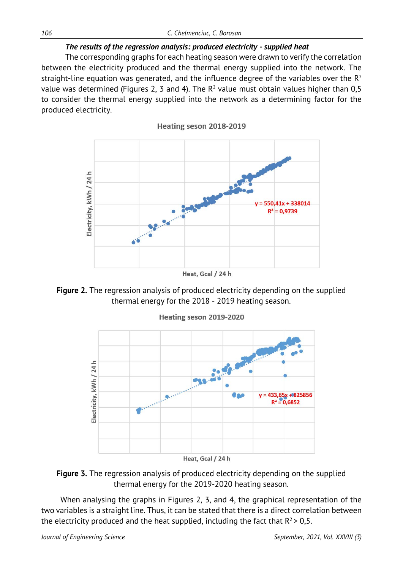## *The results of the regression analysis: produced electricity - supplied heat*

The corresponding graphs for each heating season were drawn to verify the correlation between the electricity produced and the thermal energy supplied into the network. The straight-line equation was generated, and the influence degree of the variables over the  $R<sup>2</sup>$ value was determined (Figures 2, 3 and 4). The  $R^2$  value must obtain values higher than 0,5 to consider the thermal energy supplied into the network as a determining factor for the produced electricity.







Heating seson 2019-2020



When analysing the graphs in Figures 2, 3, and 4, the graphical representation of the two variables is a straight line. Thus, it can be stated that there is a direct correlation between the electricity produced and the heat supplied, including the fact that  $R^2 > 0.5$ .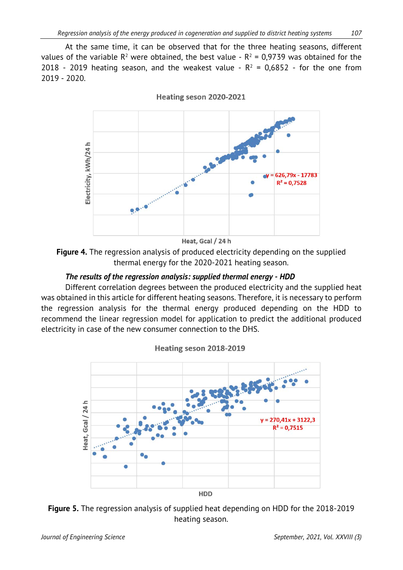At the same time, it can be observed that for the three heating seasons, different values of the variable  $R^2$  were obtained, the best value -  $R^2 = 0.9739$  was obtained for the 2018 - 2019 heating season, and the weakest value -  $R^2$  = 0,6852 - for the one from 2019 - 2020.



Heating seson 2020-2021

**Figure 4.** The regression analysis of produced electricity depending on the supplied thermal energy for the 2020-2021 heating season.

### *The results of the regression analysis: supplied thermal energy - HDD*

Different correlation degrees between the produced electricity and the supplied heat was obtained in this article for different heating seasons. Therefore, it is necessary to perform the regression analysis for the thermal energy produced depending on the HDD to recommend the linear regression model for application to predict the additional produced electricity in case of the new consumer connection to the DHS.





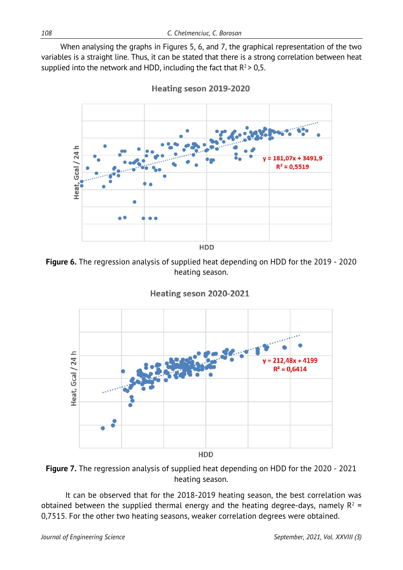When analysing the graphs in Figures 5, 6, and 7, the graphical representation of the two variables is a straight line. Thus, it can be stated that there is a strong correlation between heat supplied into the network and HDD, including the fact that  $R^2 > 0.5$ .



Heating seson 2019-2020

**Figure 6.** The regression analysis of supplied heat depending on HDD for the 2019 - 2020 heating season.





**Figure 7.** The regression analysis of supplied heat depending on HDD for the 2020 - 2021 heating season.

It can be observed that for the 2018-2019 heating season, the best correlation was obtained between the supplied thermal energy and the heating degree-days, namely  $R^2$  = 0,7515. For the other two heating seasons, weaker correlation degrees were obtained.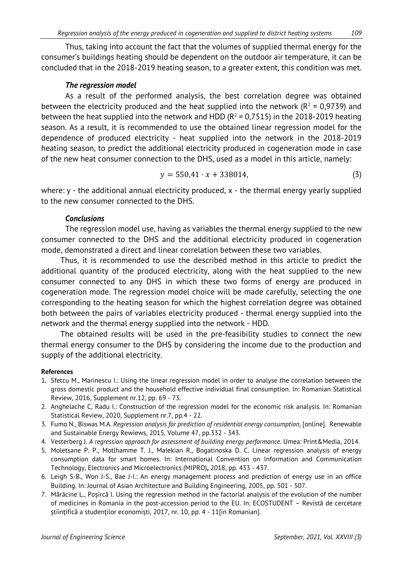Thus, taking into account the fact that the volumes of supplied thermal energy for the consumer's buildings heating should be dependent on the outdoor air temperature, it can be concluded that in the 2018-2019 heating season, to a greater extent, this condition was met.

### *The regression model*

As a result of the performed analysis, the best correlation degree was obtained between the electricity produced and the heat supplied into the network ( $R^2$  = 0,9739) and between the heat supplied into the network and HDD ( $R^2$  = 0,7515) in the 2018-2019 heating season. As a result, it is recommended to use the obtained linear regression model for the dependence of produced electricity - heat supplied into the network in the 2018-2019 heating season, to predict the additional electricity produced in cogeneration mode in case of the new heat consumer connection to the DHS, used as a model in this article, namely:

$$
y = 550,41 \cdot x + 338014,\tag{3}
$$

where: y - the additional annual electricity produced, x - the thermal energy yearly supplied to the new consumer connected to the DHS.

#### *Conclusions*

The regression model use, having as variables the thermal energy supplied to the new consumer connected to the DHS and the additional electricity produced in cogeneration mode, demonstrated a direct and linear correlation between these two variables.

Thus, it is recommended to use the described method in this article to predict the additional quantity of the produced electricity, along with the heat supplied to the new consumer connected to any DHS in which these two forms of energy are produced in cogeneration mode. The regression model choice will be made carefully, selecting the one corresponding to the heating season for which the highest correlation degree was obtained both between the pairs of variables electricity produced - thermal energy supplied into the network and the thermal energy supplied into the network - HDD.

The obtained results will be used in the pre-feasibility studies to connect the new thermal energy consumer to the DHS by considering the income due to the production and supply of the additional electricity.

#### **References**

- 1. Sfetcu M., Marinescu I.: Using the linear regression model in order to analyse the correlation between the gross domestic product and the household effective individual final consumption. In: Romanian Statistical Review, 2016, Supplement nr.12, pp. 69 - 73.
- 2. Anghelache C, Radu I.: Construction of the regression model for the economic risk analysis. In: Romanian Statistical Review, 2020, Supplement nr.7, pp.4 - 22.
- 3. Fumo N., Biswas M.A. *Regression analysis for prediction of residential energy consumption,* [online]. Renewable and Sustainable Energy Rewiews, 2015, Volume 47, pp.332 - 343.
- 4. Vesterberg J. *A regression approach for assessment of building energy performance*. Umea: Print&Media, 2014.
- 5. Moletsane P. P., Motlhamme T. J., Malekian R., Bogatinoska D. C. Linear regression analysis of energy consumption data for smart homes. In: International Convention on Information and Communication Technology, Electronics and Microelectronics (MIPRO)**,** 2018, pp. 433 - 437.
- 6. Leigh S-B., Won J-S., Bae J-I.: An energy management process and prediction of energy use in an office Building. In: Journal of Asian Architecture and Building Engineering, 2005, pp. 501 - 507.
- 7. Mărăcine L., Poșircă I. Using the regression method in the factorial analysis of the evolution of the number of medicines in Romania in the post-accession period to the EU. In: ECOSTUDENT – Revistă de cercetare științifică a studenților economiști, 2017, nr. 10, pp. 4 - 11[in Romanian].